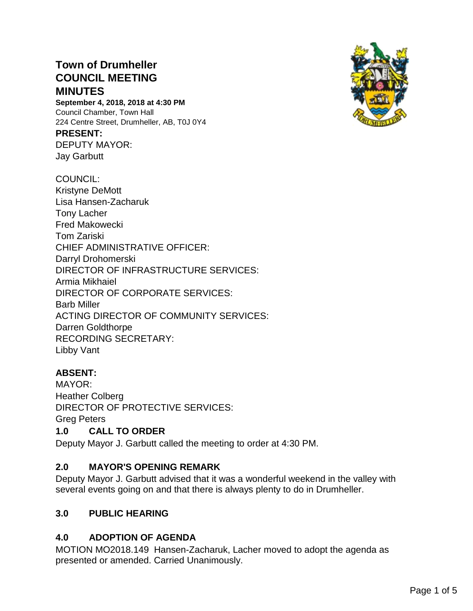# **Town of Drumheller COUNCIL MEETING MINUTES**

**September 4, 2018, 2018 at 4:30 PM** Council Chamber, Town Hall 224 Centre Street, Drumheller, AB, T0J 0Y4

### **PRESENT:**

DEPUTY MAYOR: Jay Garbutt

#### COUNCIL:

Kristyne DeMott Lisa Hansen-Zacharuk Tony Lacher Fred Makowecki Tom Zariski CHIEF ADMINISTRATIVE OFFICER: Darryl Drohomerski DIRECTOR OF INFRASTRUCTURE SERVICES: Armia Mikhaiel DIRECTOR OF CORPORATE SERVICES: Barb Miller ACTING DIRECTOR OF COMMUNITY SERVICES: Darren Goldthorpe RECORDING SECRETARY: Libby Vant

# **ABSENT:**

MAYOR: Heather Colberg DIRECTOR OF PROTECTIVE SERVICES: Greg Peters

### **1.0 CALL TO ORDER**

Deputy Mayor J. Garbutt called the meeting to order at 4:30 PM.

# **2.0 MAYOR'S OPENING REMARK**

Deputy Mayor J. Garbutt advised that it was a wonderful weekend in the valley with several events going on and that there is always plenty to do in Drumheller.

# **3.0 PUBLIC HEARING**

# **4.0 ADOPTION OF AGENDA**

MOTION MO2018.149 Hansen-Zacharuk, Lacher moved to adopt the agenda as presented or amended. Carried Unanimously.

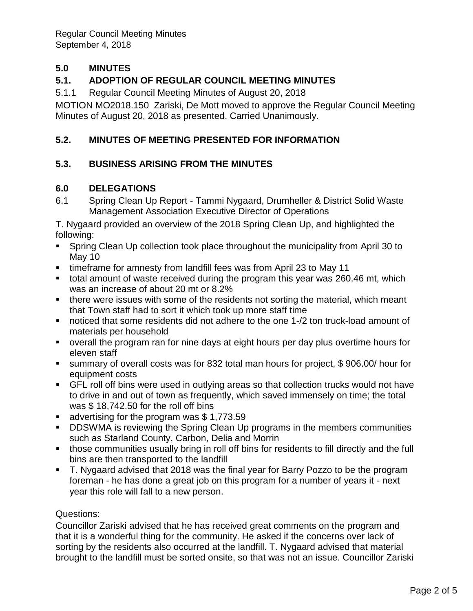Regular Council Meeting Minutes September 4, 2018

# **5.0 MINUTES**

## **5.1. ADOPTION OF REGULAR COUNCIL MEETING MINUTES**

5.1.1 Regular Council Meeting Minutes of August 20, 2018

MOTION MO2018.150 Zariski, De Mott moved to approve the Regular Council Meeting Minutes of August 20, 2018 as presented. Carried Unanimously.

## **5.2. MINUTES OF MEETING PRESENTED FOR INFORMATION**

### **5.3. BUSINESS ARISING FROM THE MINUTES**

### **6.0 DELEGATIONS**

6.1 Spring Clean Up Report - Tammi Nygaard, Drumheller & District Solid Waste Management Association Executive Director of Operations

T. Nygaard provided an overview of the 2018 Spring Clean Up, and highlighted the following:

- Spring Clean Up collection took place throughout the municipality from April 30 to May 10
- timeframe for amnesty from landfill fees was from April 23 to May 11
- total amount of waste received during the program this year was 260.46 mt, which was an increase of about 20 mt or 8.2%
- there were issues with some of the residents not sorting the material, which meant that Town staff had to sort it which took up more staff time
- noticed that some residents did not adhere to the one 1-/2 ton truck-load amount of materials per household
- overall the program ran for nine days at eight hours per day plus overtime hours for eleven staff
- summary of overall costs was for 832 total man hours for project, \$906.00/ hour for equipment costs
- **EXTER 15 FIL roll off bins were used in outlying areas so that collection trucks would not have** to drive in and out of town as frequently, which saved immensely on time; the total was \$ 18,742.50 for the roll off bins
- advertising for the program was \$1,773.59
- **DDSWMA is reviewing the Spring Clean Up programs in the members communities** such as Starland County, Carbon, Delia and Morrin
- those communities usually bring in roll off bins for residents to fill directly and the full bins are then transported to the landfill
- T. Nygaard advised that 2018 was the final year for Barry Pozzo to be the program foreman - he has done a great job on this program for a number of years it - next year this role will fall to a new person.

### Questions:

Councillor Zariski advised that he has received great comments on the program and that it is a wonderful thing for the community. He asked if the concerns over lack of sorting by the residents also occurred at the landfill. T. Nygaard advised that material brought to the landfill must be sorted onsite, so that was not an issue. Councillor Zariski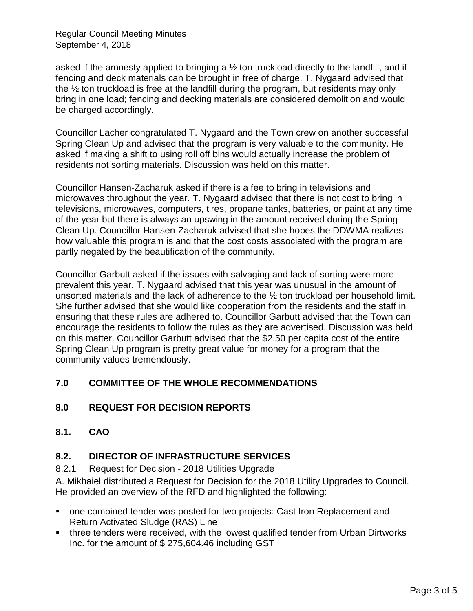Regular Council Meeting Minutes September 4, 2018

asked if the amnesty applied to bringing a  $\frac{1}{2}$  ton truckload directly to the landfill, and if fencing and deck materials can be brought in free of charge. T. Nygaard advised that the ½ ton truckload is free at the landfill during the program, but residents may only bring in one load; fencing and decking materials are considered demolition and would be charged accordingly.

Councillor Lacher congratulated T. Nygaard and the Town crew on another successful Spring Clean Up and advised that the program is very valuable to the community. He asked if making a shift to using roll off bins would actually increase the problem of residents not sorting materials. Discussion was held on this matter.

Councillor Hansen-Zacharuk asked if there is a fee to bring in televisions and microwaves throughout the year. T. Nygaard advised that there is not cost to bring in televisions, microwaves, computers, tires, propane tanks, batteries, or paint at any time of the year but there is always an upswing in the amount received during the Spring Clean Up. Councillor Hansen-Zacharuk advised that she hopes the DDWMA realizes how valuable this program is and that the cost costs associated with the program are partly negated by the beautification of the community.

Councillor Garbutt asked if the issues with salvaging and lack of sorting were more prevalent this year. T. Nygaard advised that this year was unusual in the amount of unsorted materials and the lack of adherence to the ½ ton truckload per household limit. She further advised that she would like cooperation from the residents and the staff in ensuring that these rules are adhered to. Councillor Garbutt advised that the Town can encourage the residents to follow the rules as they are advertised. Discussion was held on this matter. Councillor Garbutt advised that the \$2.50 per capita cost of the entire Spring Clean Up program is pretty great value for money for a program that the community values tremendously.

# **7.0 COMMITTEE OF THE WHOLE RECOMMENDATIONS**

# **8.0 REQUEST FOR DECISION REPORTS**

**8.1. CAO**

### **8.2. DIRECTOR OF INFRASTRUCTURE SERVICES**

8.2.1 Request for Decision - 2018 Utilities Upgrade

A. Mikhaiel distributed a Request for Decision for the 2018 Utility Upgrades to Council. He provided an overview of the RFD and highlighted the following:

- one combined tender was posted for two projects: Cast Iron Replacement and Return Activated Sludge (RAS) Line
- three tenders were received, with the lowest qualified tender from Urban Dirtworks Inc. for the amount of \$ 275,604.46 including GST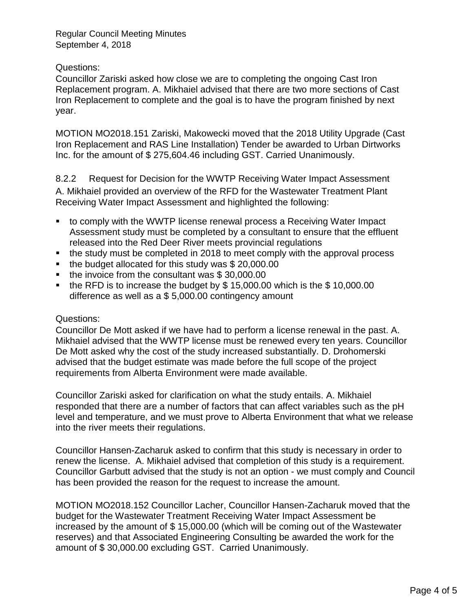Regular Council Meeting Minutes September 4, 2018

### Questions:

Councillor Zariski asked how close we are to completing the ongoing Cast Iron Replacement program. A. Mikhaiel advised that there are two more sections of Cast Iron Replacement to complete and the goal is to have the program finished by next year.

MOTION MO2018.151 Zariski, Makowecki moved that the 2018 Utility Upgrade (Cast Iron Replacement and RAS Line Installation) Tender be awarded to Urban Dirtworks Inc. for the amount of \$ 275,604.46 including GST. Carried Unanimously.

8.2.2 Request for Decision for the WWTP Receiving Water Impact Assessment A. Mikhaiel provided an overview of the RFD for the Wastewater Treatment Plant Receiving Water Impact Assessment and highlighted the following:

- to comply with the WWTP license renewal process a Receiving Water Impact Assessment study must be completed by a consultant to ensure that the effluent released into the Red Deer River meets provincial regulations
- the study must be completed in 2018 to meet comply with the approval process
- the budget allocated for this study was \$20,000,00
- the invoice from the consultant was \$30,000.00
- **•** the RFD is to increase the budget by  $$15,000.00$  which is the  $$10,000.00$ difference as well as a \$ 5,000.00 contingency amount

### Questions:

Councillor De Mott asked if we have had to perform a license renewal in the past. A. Mikhaiel advised that the WWTP license must be renewed every ten years. Councillor De Mott asked why the cost of the study increased substantially. D. Drohomerski advised that the budget estimate was made before the full scope of the project requirements from Alberta Environment were made available.

Councillor Zariski asked for clarification on what the study entails. A. Mikhaiel responded that there are a number of factors that can affect variables such as the pH level and temperature, and we must prove to Alberta Environment that what we release into the river meets their regulations.

Councillor Hansen-Zacharuk asked to confirm that this study is necessary in order to renew the license. A. Mikhaiel advised that completion of this study is a requirement. Councillor Garbutt advised that the study is not an option - we must comply and Council has been provided the reason for the request to increase the amount.

MOTION MO2018.152 Councillor Lacher, Councillor Hansen-Zacharuk moved that the budget for the Wastewater Treatment Receiving Water Impact Assessment be increased by the amount of \$ 15,000.00 (which will be coming out of the Wastewater reserves) and that Associated Engineering Consulting be awarded the work for the amount of \$ 30,000.00 excluding GST. Carried Unanimously.